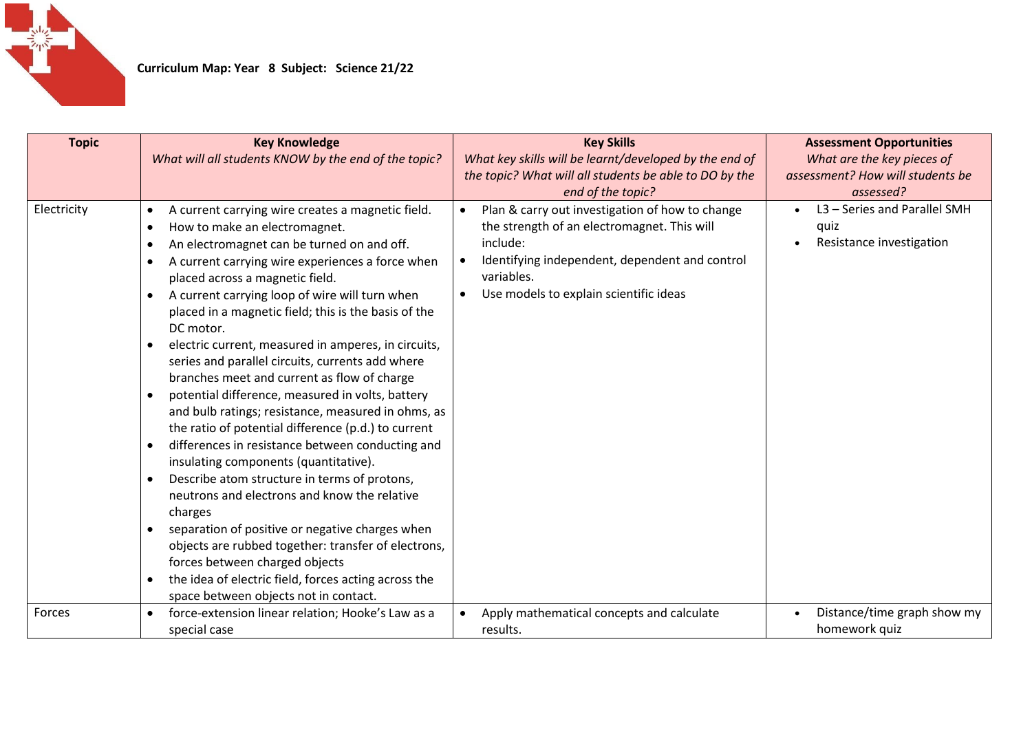

| <b>Topic</b> | <b>Key Knowledge</b>                                                                             | <b>Key Skills</b>                                            | <b>Assessment Opportunities</b>  |
|--------------|--------------------------------------------------------------------------------------------------|--------------------------------------------------------------|----------------------------------|
|              | What will all students KNOW by the end of the topic?                                             | What key skills will be learnt/developed by the end of       | What are the key pieces of       |
|              |                                                                                                  | the topic? What will all students be able to DO by the       | assessment? How will students be |
|              |                                                                                                  | end of the topic?                                            | assessed?                        |
| Electricity  | A current carrying wire creates a magnetic field.<br>$\bullet$                                   | Plan & carry out investigation of how to change              | L3 - Series and Parallel SMH     |
|              | How to make an electromagnet.<br>$\bullet$                                                       | the strength of an electromagnet. This will                  | quiz                             |
|              | An electromagnet can be turned on and off.<br>$\bullet$                                          | include:                                                     | Resistance investigation         |
|              | A current carrying wire experiences a force when<br>$\bullet$<br>placed across a magnetic field. | Identifying independent, dependent and control<br>variables. |                                  |
|              | A current carrying loop of wire will turn when<br>$\bullet$                                      | Use models to explain scientific ideas                       |                                  |
|              | placed in a magnetic field; this is the basis of the                                             |                                                              |                                  |
|              | DC motor.                                                                                        |                                                              |                                  |
|              | electric current, measured in amperes, in circuits,<br>$\bullet$                                 |                                                              |                                  |
|              | series and parallel circuits, currents add where                                                 |                                                              |                                  |
|              | branches meet and current as flow of charge                                                      |                                                              |                                  |
|              | potential difference, measured in volts, battery                                                 |                                                              |                                  |
|              | and bulb ratings; resistance, measured in ohms, as                                               |                                                              |                                  |
|              | the ratio of potential difference (p.d.) to current                                              |                                                              |                                  |
|              | differences in resistance between conducting and<br>$\bullet$                                    |                                                              |                                  |
|              | insulating components (quantitative).                                                            |                                                              |                                  |
|              | Describe atom structure in terms of protons,<br>$\bullet$                                        |                                                              |                                  |
|              | neutrons and electrons and know the relative<br>charges                                          |                                                              |                                  |
|              | separation of positive or negative charges when<br>$\bullet$                                     |                                                              |                                  |
|              | objects are rubbed together: transfer of electrons,                                              |                                                              |                                  |
|              | forces between charged objects                                                                   |                                                              |                                  |
|              | the idea of electric field, forces acting across the<br>$\bullet$                                |                                                              |                                  |
|              | space between objects not in contact.                                                            |                                                              |                                  |
| Forces       | force-extension linear relation; Hooke's Law as a                                                | Apply mathematical concepts and calculate                    | Distance/time graph show my      |
|              | special case                                                                                     | results.                                                     | homework quiz                    |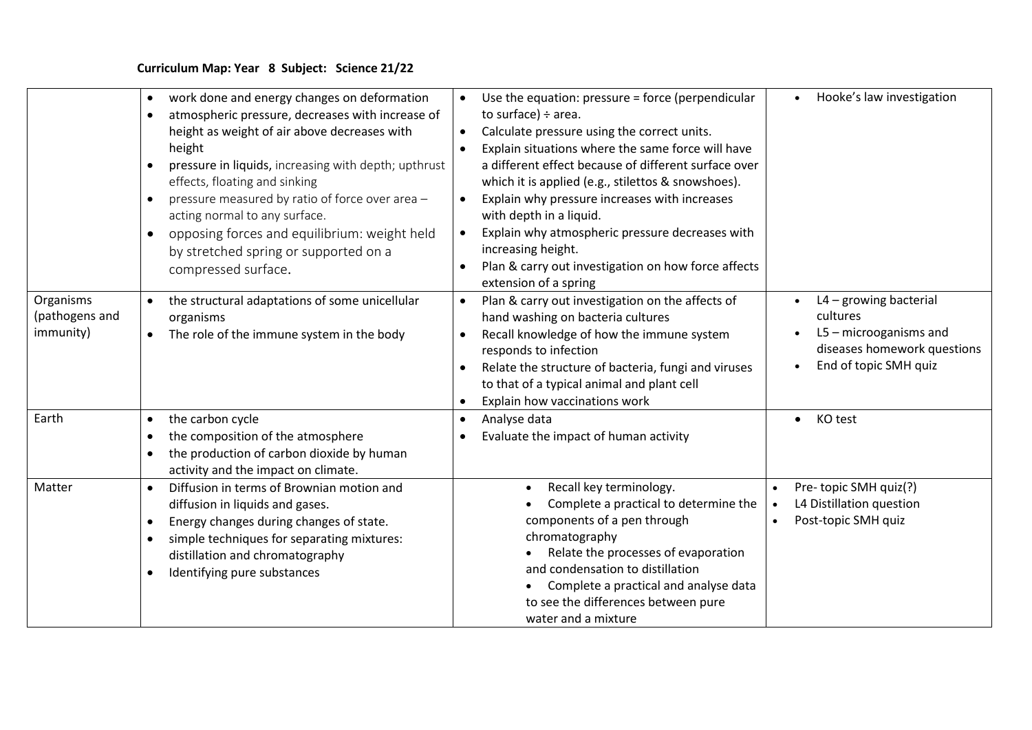|                                          | work done and energy changes on deformation<br>$\bullet$<br>atmospheric pressure, decreases with increase of<br>height as weight of air above decreases with<br>height<br>pressure in liquids, increasing with depth; upthrust<br>effects, floating and sinking<br>pressure measured by ratio of force over area -<br>$\bullet$<br>acting normal to any surface.<br>opposing forces and equilibrium: weight held<br>$\bullet$<br>by stretched spring or supported on a<br>compressed surface. | Use the equation: pressure = force (perpendicular<br>to surface) $\div$ area.<br>Calculate pressure using the correct units.<br>$\bullet$<br>Explain situations where the same force will have<br>a different effect because of different surface over<br>which it is applied (e.g., stilettos & snowshoes).<br>Explain why pressure increases with increases<br>with depth in a liquid.<br>Explain why atmospheric pressure decreases with<br>increasing height.<br>Plan & carry out investigation on how force affects | Hooke's law investigation<br>$\bullet$                                                                                              |
|------------------------------------------|-----------------------------------------------------------------------------------------------------------------------------------------------------------------------------------------------------------------------------------------------------------------------------------------------------------------------------------------------------------------------------------------------------------------------------------------------------------------------------------------------|--------------------------------------------------------------------------------------------------------------------------------------------------------------------------------------------------------------------------------------------------------------------------------------------------------------------------------------------------------------------------------------------------------------------------------------------------------------------------------------------------------------------------|-------------------------------------------------------------------------------------------------------------------------------------|
| Organisms<br>(pathogens and<br>immunity) | the structural adaptations of some unicellular<br>$\bullet$<br>organisms<br>The role of the immune system in the body<br>$\bullet$                                                                                                                                                                                                                                                                                                                                                            | extension of a spring<br>Plan & carry out investigation on the affects of<br>hand washing on bacteria cultures<br>Recall knowledge of how the immune system<br>$\bullet$<br>responds to infection<br>Relate the structure of bacteria, fungi and viruses<br>to that of a typical animal and plant cell<br>Explain how vaccinations work                                                                                                                                                                                  | $L4 -$ growing bacterial<br>cultures<br>L5 - microoganisms and<br>diseases homework questions<br>End of topic SMH quiz<br>$\bullet$ |
| Earth                                    | the carbon cycle<br>$\bullet$<br>the composition of the atmosphere<br>$\bullet$<br>the production of carbon dioxide by human<br>$\bullet$<br>activity and the impact on climate.                                                                                                                                                                                                                                                                                                              | Analyse data<br>$\bullet$<br>Evaluate the impact of human activity                                                                                                                                                                                                                                                                                                                                                                                                                                                       | KO test<br>$\bullet$                                                                                                                |
| Matter                                   | Diffusion in terms of Brownian motion and<br>$\bullet$<br>diffusion in liquids and gases.<br>Energy changes during changes of state.<br>$\bullet$<br>simple techniques for separating mixtures:<br>$\bullet$<br>distillation and chromatography<br>Identifying pure substances<br>$\bullet$                                                                                                                                                                                                   | Recall key terminology.<br>Complete a practical to determine the<br>components of a pen through<br>chromatography<br>Relate the processes of evaporation<br>and condensation to distillation<br>Complete a practical and analyse data<br>to see the differences between pure<br>water and a mixture                                                                                                                                                                                                                      | Pre-topic SMH quiz(?)<br>L4 Distillation question<br>Post-topic SMH quiz                                                            |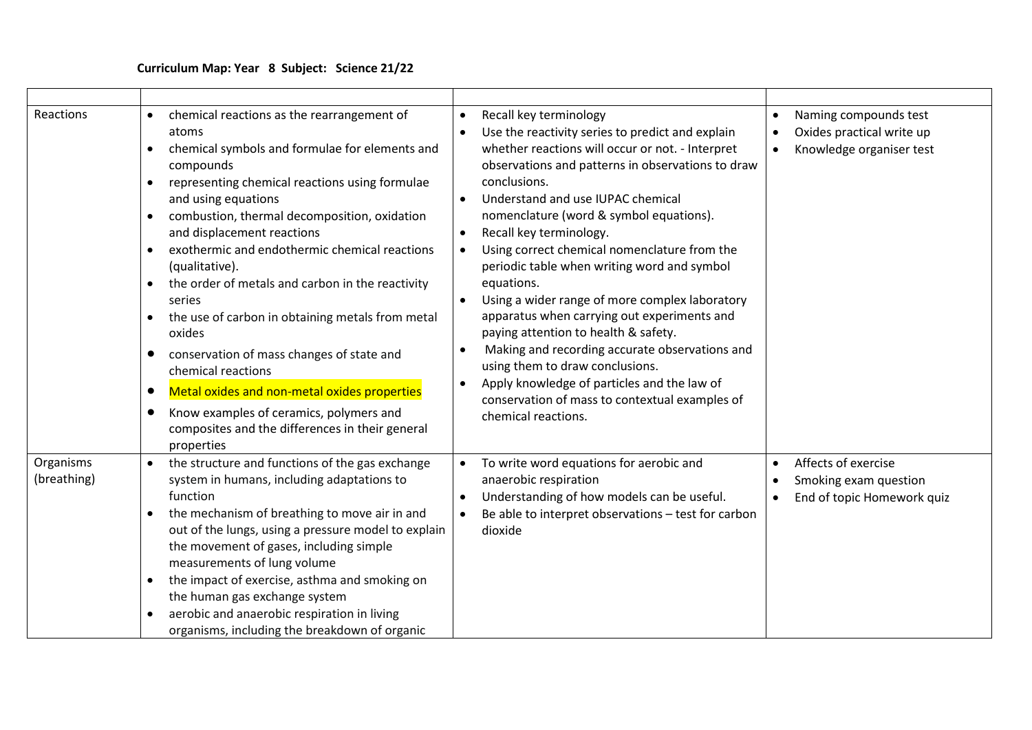| Reactions                | chemical reactions as the rearrangement of<br>atoms<br>chemical symbols and formulae for elements and<br>$\bullet$<br>compounds<br>representing chemical reactions using formulae<br>and using equations<br>combustion, thermal decomposition, oxidation<br>$\bullet$<br>and displacement reactions<br>exothermic and endothermic chemical reactions<br>(qualitative).<br>the order of metals and carbon in the reactivity<br>$\bullet$<br>series<br>the use of carbon in obtaining metals from metal<br>$\bullet$<br>oxides<br>conservation of mass changes of state and<br>$\bullet$<br>chemical reactions<br>Metal oxides and non-metal oxides properties<br>$\bullet$<br>Know examples of ceramics, polymers and<br>$\bullet$<br>composites and the differences in their general<br>properties | Recall key terminology<br>$\bullet$<br>Use the reactivity series to predict and explain<br>whether reactions will occur or not. - Interpret<br>observations and patterns in observations to draw<br>conclusions.<br>Understand and use IUPAC chemical<br>nomenclature (word & symbol equations).<br>Recall key terminology.<br>$\bullet$<br>Using correct chemical nomenclature from the<br>$\bullet$<br>periodic table when writing word and symbol<br>equations.<br>Using a wider range of more complex laboratory<br>apparatus when carrying out experiments and<br>paying attention to health & safety.<br>Making and recording accurate observations and<br>$\bullet$<br>using them to draw conclusions.<br>Apply knowledge of particles and the law of<br>$\bullet$<br>conservation of mass to contextual examples of<br>chemical reactions. | Naming compounds test<br>Oxides practical write up<br>Knowledge organiser test          |
|--------------------------|----------------------------------------------------------------------------------------------------------------------------------------------------------------------------------------------------------------------------------------------------------------------------------------------------------------------------------------------------------------------------------------------------------------------------------------------------------------------------------------------------------------------------------------------------------------------------------------------------------------------------------------------------------------------------------------------------------------------------------------------------------------------------------------------------|----------------------------------------------------------------------------------------------------------------------------------------------------------------------------------------------------------------------------------------------------------------------------------------------------------------------------------------------------------------------------------------------------------------------------------------------------------------------------------------------------------------------------------------------------------------------------------------------------------------------------------------------------------------------------------------------------------------------------------------------------------------------------------------------------------------------------------------------------|-----------------------------------------------------------------------------------------|
| Organisms<br>(breathing) | the structure and functions of the gas exchange<br>system in humans, including adaptations to<br>function<br>the mechanism of breathing to move air in and<br>out of the lungs, using a pressure model to explain<br>the movement of gases, including simple<br>measurements of lung volume<br>the impact of exercise, asthma and smoking on<br>$\bullet$<br>the human gas exchange system<br>aerobic and anaerobic respiration in living<br>$\bullet$<br>organisms, including the breakdown of organic                                                                                                                                                                                                                                                                                            | To write word equations for aerobic and<br>anaerobic respiration<br>Understanding of how models can be useful.<br>$\bullet$<br>Be able to interpret observations - test for carbon<br>$\bullet$<br>dioxide                                                                                                                                                                                                                                                                                                                                                                                                                                                                                                                                                                                                                                         | Affects of exercise<br>Smoking exam question<br>End of topic Homework quiz<br>$\bullet$ |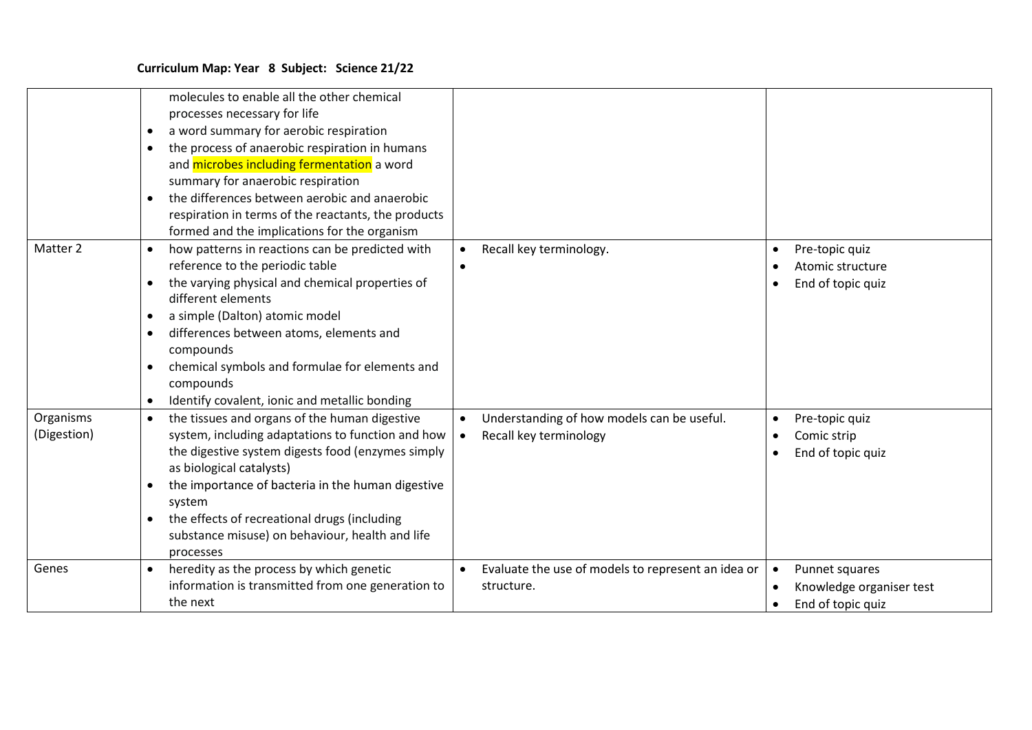|                          | molecules to enable all the other chemical<br>processes necessary for life<br>a word summary for aerobic respiration<br>$\bullet$<br>the process of anaerobic respiration in humans<br>$\bullet$<br>and microbes including fermentation a word<br>summary for anaerobic respiration<br>the differences between aerobic and anaerobic<br>$\bullet$<br>respiration in terms of the reactants, the products<br>formed and the implications for the organism |                                                                      |                                                                 |
|--------------------------|----------------------------------------------------------------------------------------------------------------------------------------------------------------------------------------------------------------------------------------------------------------------------------------------------------------------------------------------------------------------------------------------------------------------------------------------------------|----------------------------------------------------------------------|-----------------------------------------------------------------|
| Matter 2                 | how patterns in reactions can be predicted with<br>$\bullet$<br>reference to the periodic table<br>the varying physical and chemical properties of<br>$\bullet$<br>different elements<br>a simple (Dalton) atomic model<br>$\bullet$<br>differences between atoms, elements and<br>$\bullet$<br>compounds<br>chemical symbols and formulae for elements and<br>$\bullet$<br>compounds<br>Identify covalent, ionic and metallic bonding<br>$\bullet$      | Recall key terminology.<br>$\bullet$                                 | Pre-topic quiz<br>Atomic structure<br>End of topic quiz         |
| Organisms<br>(Digestion) | the tissues and organs of the human digestive<br>$\bullet$<br>system, including adaptations to function and how<br>the digestive system digests food (enzymes simply<br>as biological catalysts)<br>the importance of bacteria in the human digestive<br>$\bullet$<br>system<br>the effects of recreational drugs (including<br>$\bullet$<br>substance misuse) on behaviour, health and life<br>processes                                                | Understanding of how models can be useful.<br>Recall key terminology | Pre-topic quiz<br>Comic strip<br>End of topic quiz              |
| Genes                    | heredity as the process by which genetic<br>$\bullet$<br>information is transmitted from one generation to<br>the next                                                                                                                                                                                                                                                                                                                                   | Evaluate the use of models to represent an idea or<br>structure.     | Punnet squares<br>Knowledge organiser test<br>End of topic quiz |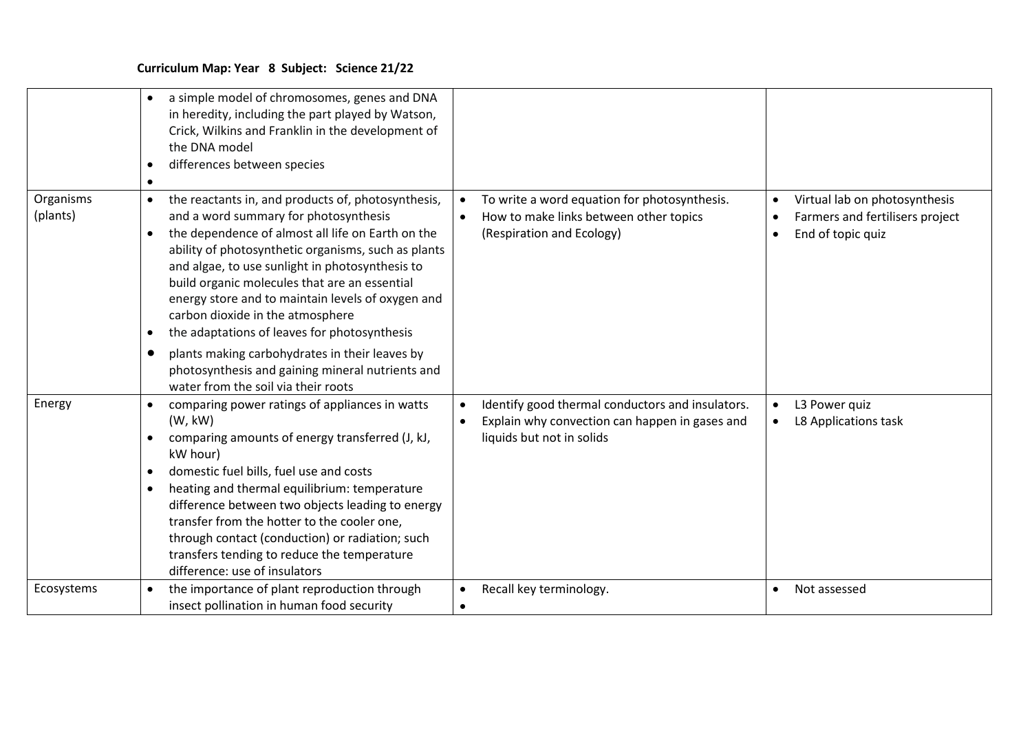|                       | a simple model of chromosomes, genes and DNA<br>$\bullet$<br>in heredity, including the part played by Watson,<br>Crick, Wilkins and Franklin in the development of<br>the DNA model<br>differences between species<br>$\bullet$                                                                                                                                                                                                                                                                                                                                                                                                                      |                                                                                                                                              |                                                                                       |
|-----------------------|-------------------------------------------------------------------------------------------------------------------------------------------------------------------------------------------------------------------------------------------------------------------------------------------------------------------------------------------------------------------------------------------------------------------------------------------------------------------------------------------------------------------------------------------------------------------------------------------------------------------------------------------------------|----------------------------------------------------------------------------------------------------------------------------------------------|---------------------------------------------------------------------------------------|
| Organisms<br>(plants) | the reactants in, and products of, photosynthesis,<br>$\bullet$<br>and a word summary for photosynthesis<br>the dependence of almost all life on Earth on the<br>$\bullet$<br>ability of photosynthetic organisms, such as plants<br>and algae, to use sunlight in photosynthesis to<br>build organic molecules that are an essential<br>energy store and to maintain levels of oxygen and<br>carbon dioxide in the atmosphere<br>the adaptations of leaves for photosynthesis<br>$\bullet$<br>plants making carbohydrates in their leaves by<br>$\bullet$<br>photosynthesis and gaining mineral nutrients and<br>water from the soil via their roots | To write a word equation for photosynthesis.<br>How to make links between other topics<br>$\bullet$<br>(Respiration and Ecology)             | Virtual lab on photosynthesis<br>Farmers and fertilisers project<br>End of topic quiz |
| Energy                | comparing power ratings of appliances in watts<br>$\bullet$<br>(W, kW)<br>comparing amounts of energy transferred (J, kJ,<br>$\bullet$<br>kW hour)<br>domestic fuel bills, fuel use and costs<br>$\bullet$<br>heating and thermal equilibrium: temperature<br>$\bullet$<br>difference between two objects leading to energy<br>transfer from the hotter to the cooler one,<br>through contact (conduction) or radiation; such<br>transfers tending to reduce the temperature<br>difference: use of insulators                                                                                                                                         | Identify good thermal conductors and insulators.<br>Explain why convection can happen in gases and<br>$\bullet$<br>liquids but not in solids | L3 Power quiz<br>L8 Applications task                                                 |
| Ecosystems            | the importance of plant reproduction through<br>$\bullet$<br>insect pollination in human food security                                                                                                                                                                                                                                                                                                                                                                                                                                                                                                                                                | Recall key terminology.<br>$\bullet$<br>$\bullet$                                                                                            | Not assessed                                                                          |